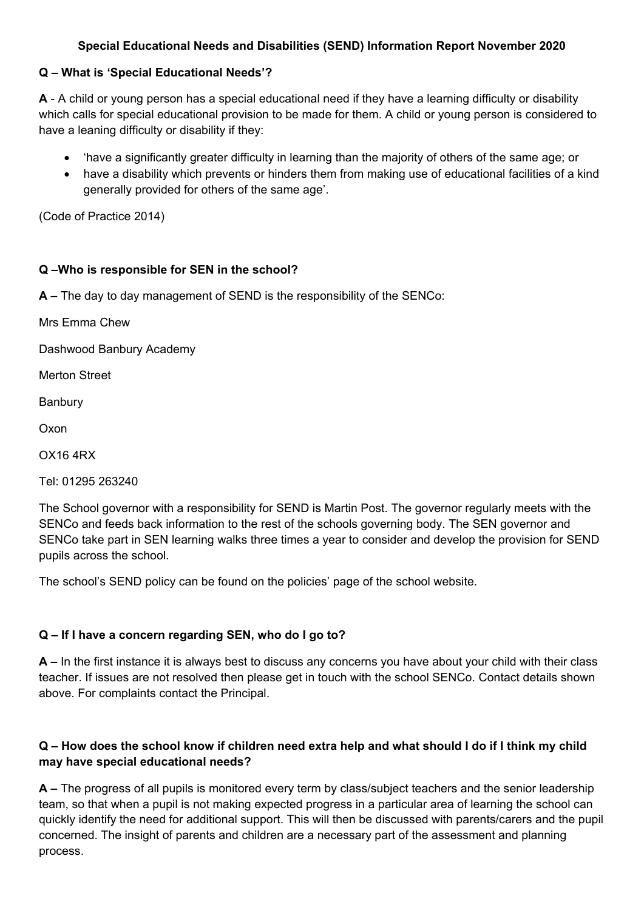### **Special Educational Needs and Disabilities (SEND) Information Report November 2020**

#### **Q – What is 'Special Educational Needs'?**

**A** - A child or young person has a special educational need if they have a learning difficulty or disability which calls for special educational provision to be made for them. A child or young person is considered to have a leaning difficulty or disability if they:

- 'have a significantly greater difficulty in learning than the majority of others of the same age; or
- have a disability which prevents or hinders them from making use of educational facilities of a kind generally provided for others of the same age'.

(Code of Practice 2014)

#### **Q –Who is responsible for SEN in the school?**

**A –** The day to day management of SEND is the responsibility of the SENCo:

Mrs Emma Chew

Dashwood Banbury Academy

Merton Street

Banbury

Oxon

OX16 4RX

Tel: 01295 263240

The School governor with a responsibility for SEND is Martin Post. The governor regularly meets with the SENCo and feeds back information to the rest of the schools governing body. The SEN governor and SENCo take part in SEN learning walks three times a year to consider and develop the provision for SEND pupils across the school.

The school's SEND policy can be found on the policies' page of the school website.

### **Q – If I have a concern regarding SEN, who do I go to?**

**A –** In the first instance it is always best to discuss any concerns you have about your child with their class teacher. If issues are not resolved then please get in touch with the school SENCo. Contact details shown above. For complaints contact the Principal.

### **Q – How does the school know if children need extra help and what should I do if I think my child may have special educational needs?**

**A –** The progress of all pupils is monitored every term by class/subject teachers and the senior leadership team, so that when a pupil is not making expected progress in a particular area of learning the school can quickly identify the need for additional support. This will then be discussed with parents/carers and the pupil concerned. The insight of parents and children are a necessary part of the assessment and planning process.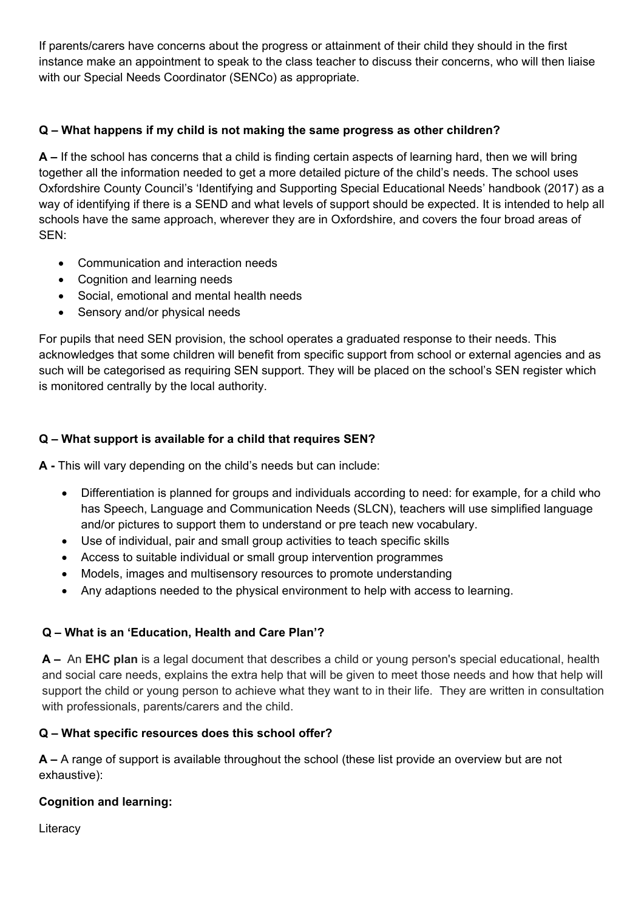If parents/carers have concerns about the progress or attainment of their child they should in the first instance make an appointment to speak to the class teacher to discuss their concerns, who will then liaise with our Special Needs Coordinator (SENCo) as appropriate.

# **Q – What happens if my child is not making the same progress as other children?**

**A –** If the school has concerns that a child is finding certain aspects of learning hard, then we will bring together all the information needed to get a more detailed picture of the child's needs. The school uses Oxfordshire County Council's 'Identifying and Supporting Special Educational Needs' handbook (2017) as a way of identifying if there is a SEND and what levels of support should be expected. It is intended to help all schools have the same approach, wherever they are in Oxfordshire, and covers the four broad areas of SEN:

- Communication and interaction needs
- Cognition and learning needs
- Social, emotional and mental health needs
- Sensory and/or physical needs

For pupils that need SEN provision, the school operates a graduated response to their needs. This acknowledges that some children will benefit from specific support from school or external agencies and as such will be categorised as requiring SEN support. They will be placed on the school's SEN register which is monitored centrally by the local authority.

# **Q – What support is available for a child that requires SEN?**

**A -** This will vary depending on the child's needs but can include:

- Differentiation is planned for groups and individuals according to need: for example, for a child who has Speech, Language and Communication Needs (SLCN), teachers will use simplified language and/or pictures to support them to understand or pre teach new vocabulary.
- Use of individual, pair and small group activities to teach specific skills
- Access to suitable individual or small group intervention programmes
- Models, images and multisensory resources to promote understanding
- Any adaptions needed to the physical environment to help with access to learning.

### **Q – What is an 'Education, Health and Care Plan'?**

**A –** An **EHC plan** is a legal document that describes a child or young person's special educational, health and social care needs, explains the extra help that will be given to meet those needs and how that help will support the child or young person to achieve what they want to in their life. They are written in consultation with professionals, parents/carers and the child.

### **Q – What specific resources does this school offer?**

**A –** A range of support is available throughout the school (these list provide an overview but are not exhaustive):

# **Cognition and learning:**

**Literacy**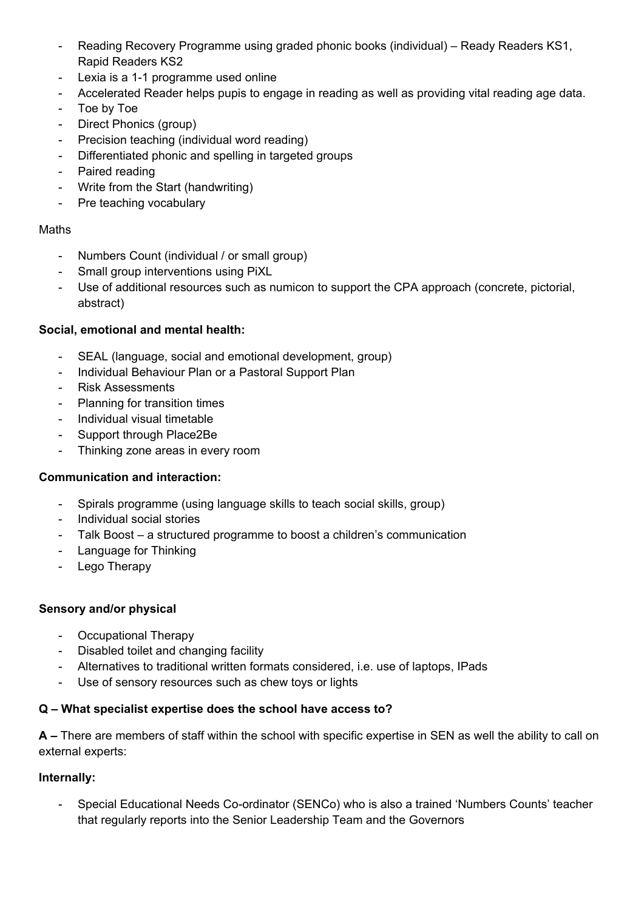- Reading Recovery Programme using graded phonic books (individual) Ready Readers KS1, Rapid Readers KS2
- Lexia is a 1-1 programme used online
- Accelerated Reader helps pupis to engage in reading as well as providing vital reading age data.
- Toe by Toe
- Direct Phonics (group)
- Precision teaching (individual word reading)
- Differentiated phonic and spelling in targeted groups
- Paired reading
- Write from the Start (handwriting)
- Pre teaching vocabulary

#### Maths

- Numbers Count (individual / or small group)
- Small group interventions using PiXL
- Use of additional resources such as numicon to support the CPA approach (concrete, pictorial, abstract)

### **Social, emotional and mental health:**

- SEAL (language, social and emotional development, group)
- Individual Behaviour Plan or a Pastoral Support Plan
- Risk Assessments
- Planning for transition times
- Individual visual timetable
- Support through Place2Be
- Thinking zone areas in every room

### **Communication and interaction:**

- Spirals programme (using language skills to teach social skills, group)
- Individual social stories
- Talk Boost a structured programme to boost a children's communication
- Language for Thinking
- Lego Therapy

#### **Sensory and/or physical**

- Occupational Therapy
- Disabled toilet and changing facility
- Alternatives to traditional written formats considered, i.e. use of laptops, IPads
- Use of sensory resources such as chew toys or lights

### **Q – What specialist expertise does the school have access to?**

**A –** There are members of staff within the school with specific expertise in SEN as well the ability to call on external experts:

#### **Internally:**

- Special Educational Needs Co-ordinator (SENCo) who is also a trained 'Numbers Counts' teacher that regularly reports into the Senior Leadership Team and the Governors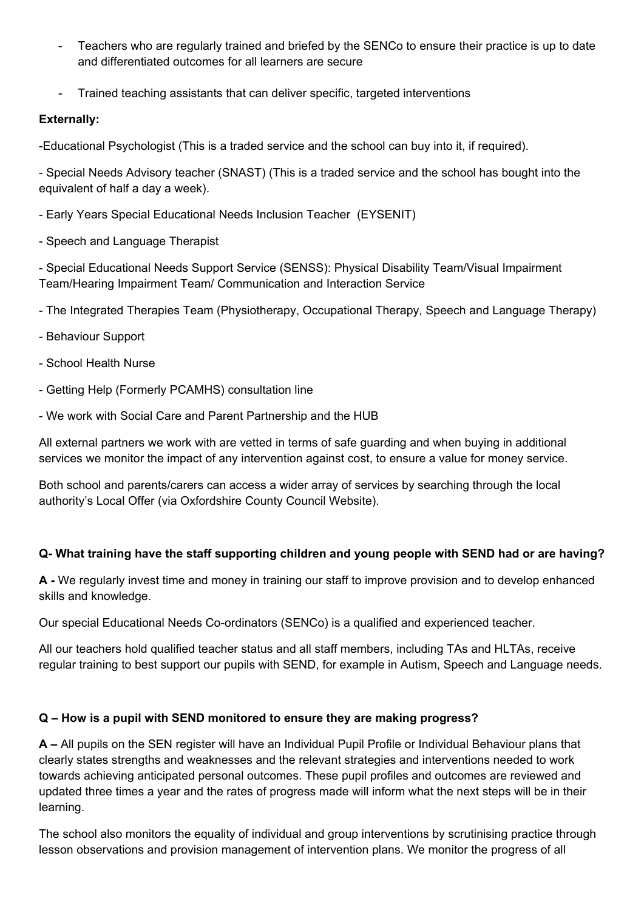- Teachers who are regularly trained and briefed by the SENCo to ensure their practice is up to date and differentiated outcomes for all learners are secure
- Trained teaching assistants that can deliver specific, targeted interventions

# **Externally:**

-Educational Psychologist (This is a traded service and the school can buy into it, if required).

- Special Needs Advisory teacher (SNAST) (This is a traded service and the school has bought into the equivalent of half a day a week).

- Early Years Special Educational Needs Inclusion Teacher (EYSENIT)
- Speech and Language Therapist

- Special Educational Needs Support Service (SENSS): Physical Disability Team/Visual Impairment Team/Hearing Impairment Team/ Communication and Interaction Service

- The Integrated Therapies Team (Physiotherapy, Occupational Therapy, Speech and Language Therapy)
- Behaviour Support
- School Health Nurse
- Getting Help (Formerly PCAMHS) consultation line
- We work with Social Care and Parent Partnership and the HUB

All external partners we work with are vetted in terms of safe guarding and when buying in additional services we monitor the impact of any intervention against cost, to ensure a value for money service.

Both school and parents/carers can access a wider array of services by searching through the local authority's Local Offer (via Oxfordshire County Council Website).

### **Q- What training have the staff supporting children and young people with SEND had or are having?**

**A -** We regularly invest time and money in training our staff to improve provision and to develop enhanced skills and knowledge.

Our special Educational Needs Co-ordinators (SENCo) is a qualified and experienced teacher.

All our teachers hold qualified teacher status and all staff members, including TAs and HLTAs, receive regular training to best support our pupils with SEND, for example in Autism, Speech and Language needs.

# **Q – How is a pupil with SEND monitored to ensure they are making progress?**

**A –** All pupils on the SEN register will have an Individual Pupil Profile or Individual Behaviour plans that clearly states strengths and weaknesses and the relevant strategies and interventions needed to work towards achieving anticipated personal outcomes. These pupil profiles and outcomes are reviewed and updated three times a year and the rates of progress made will inform what the next steps will be in their learning.

The school also monitors the equality of individual and group interventions by scrutinising practice through lesson observations and provision management of intervention plans. We monitor the progress of all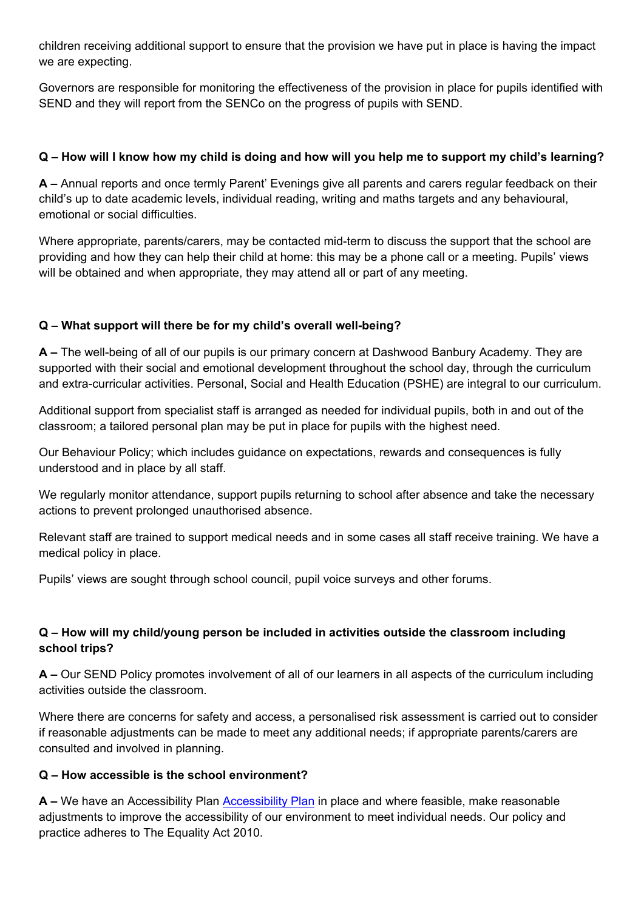children receiving additional support to ensure that the provision we have put in place is having the impact we are expecting.

Governors are responsible for monitoring the effectiveness of the provision in place for pupils identified with SEND and they will report from the SENCo on the progress of pupils with SEND.

### **Q – How will I know how my child is doing and how will you help me to support my child's learning?**

**A –** Annual reports and once termly Parent' Evenings give all parents and carers regular feedback on their child's up to date academic levels, individual reading, writing and maths targets and any behavioural, emotional or social difficulties.

Where appropriate, parents/carers, may be contacted mid-term to discuss the support that the school are providing and how they can help their child at home: this may be a phone call or a meeting. Pupils' views will be obtained and when appropriate, they may attend all or part of any meeting.

# **Q – What support will there be for my child's overall well-being?**

**A –** The well-being of all of our pupils is our primary concern at Dashwood Banbury Academy. They are supported with their social and emotional development throughout the school day, through the curriculum and extra-curricular activities. Personal, Social and Health Education (PSHE) are integral to our curriculum.

Additional support from specialist staff is arranged as needed for individual pupils, both in and out of the classroom; a tailored personal plan may be put in place for pupils with the highest need.

Our Behaviour Policy; which includes guidance on expectations, rewards and consequences is fully understood and in place by all staff.

We regularly monitor attendance, support pupils returning to school after absence and take the necessary actions to prevent prolonged unauthorised absence.

Relevant staff are trained to support medical needs and in some cases all staff receive training. We have a medical policy in place.

Pupils' views are sought through school council, pupil voice surveys and other forums.

### **Q – How will my child/young person be included in activities outside the classroom including school trips?**

**A –** Our SEND Policy promotes involvement of all of our learners in all aspects of the curriculum including activities outside the classroom.

Where there are concerns for safety and access, a personalised risk assessment is carried out to consider if reasonable adjustments can be made to meet any additional needs; if appropriate parents/carers are consulted and involved in planning.

### **Q – How accessible is the school environment?**

**A –** We have an Accessibility Plan [Accessibility Plan](https://dashwood.academies.aspirationsacademies.org/wp-content/uploads/sites/8/2020/06/accessibility-plan-dashwood-2019-2021.pdf) in place and where feasible, make reasonable adjustments to improve the accessibility of our environment to meet individual needs. Our policy and practice adheres to The Equality Act 2010.